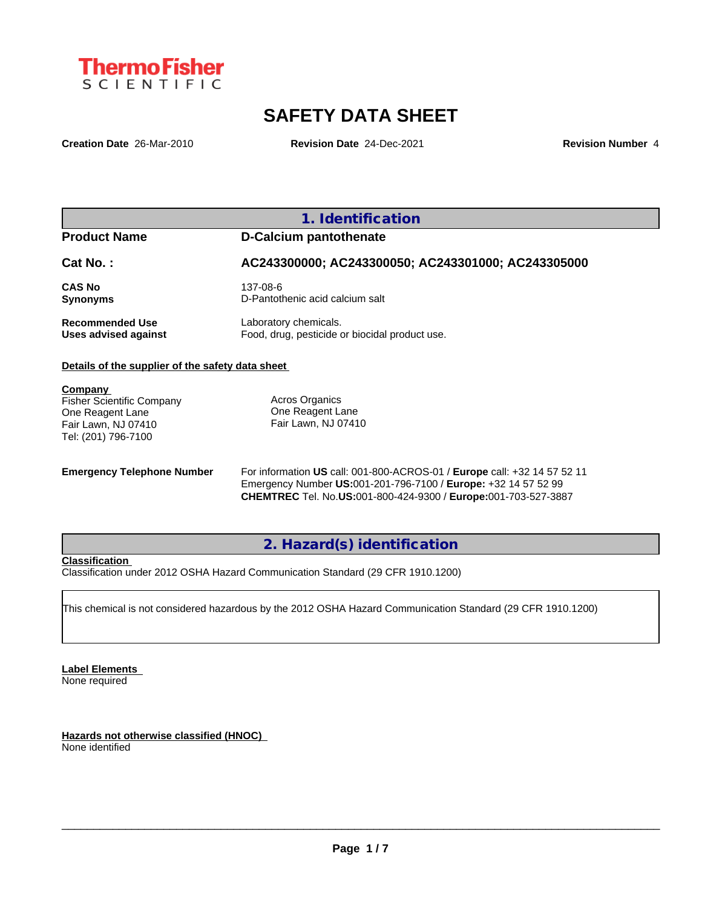

# **SAFETY DATA SHEET**

**Creation Date** 26-Mar-2010 **Revision Date** 24-Dec-2021 **Revision Number** 4

## **1. Identification**

## **Product Name D-Calcium pantothenate**

**Cat No. : AC243300000; AC243300050; AC243301000; AC243305000**

**CAS No** 137-08-6 **Synonyms** D-Pantothenic acid calcium salt

**Recommended Use** Laboratory chemicals.<br> **Uses advised against** Food, drug, pesticide of Food, drug, pesticide or biocidal product use.

## **Details of the supplier of the safety data sheet**

**Company** 

Fisher Scientific Company One Reagent Lane Fair Lawn, NJ 07410 Tel: (201) 796-7100

Acros Organics One Reagent Lane Fair Lawn, NJ 07410

**Emergency Telephone Number** For information **US** call: 001-800-ACROS-01 / **Europe** call: +32 14 57 52 11 Emergency Number **US:**001-201-796-7100 / **Europe:** +32 14 57 52 99 **CHEMTREC** Tel. No.**US:**001-800-424-9300 / **Europe:**001-703-527-3887

## **2. Hazard(s) identification**

## **Classification**

Classification under 2012 OSHA Hazard Communication Standard (29 CFR 1910.1200)

This chemical is not considered hazardous by the 2012 OSHA Hazard Communication Standard (29 CFR 1910.1200)

**Label Elements** None required

**Hazards not otherwise classified (HNOC)** None identified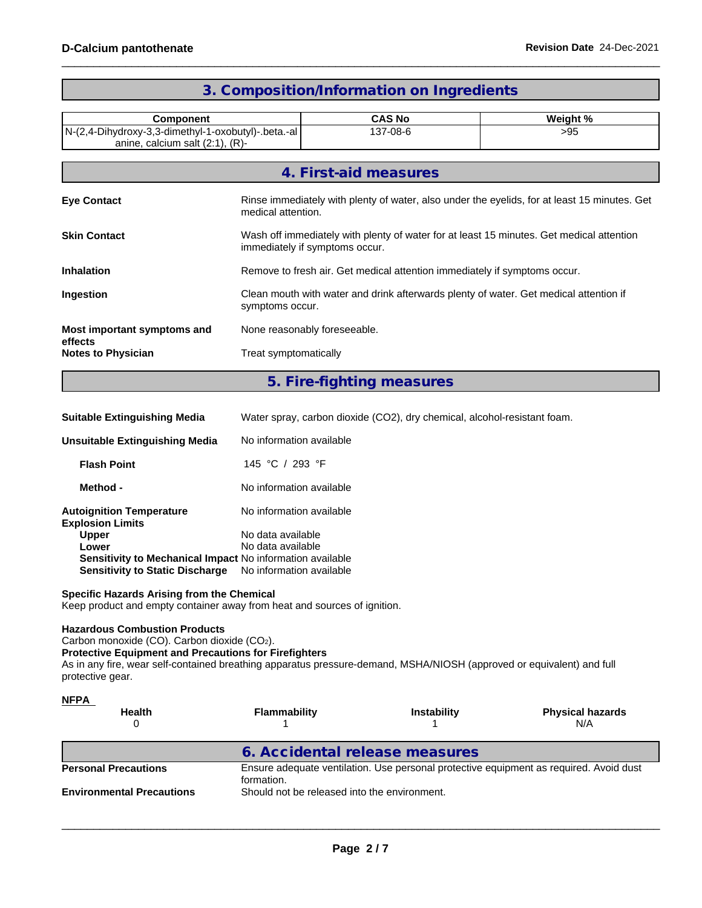| <b>Component</b>                                                                             |                                                                                                                            | <b>CAS No</b>             | Weight %<br>>95 |  |
|----------------------------------------------------------------------------------------------|----------------------------------------------------------------------------------------------------------------------------|---------------------------|-----------------|--|
| N-(2,4-Dihydroxy-3,3-dimethyl-1-oxobutyl)-.beta.-al<br>anine, calcium salt $(2:1)$ , $(R)$ - |                                                                                                                            | 137-08-6                  |                 |  |
|                                                                                              |                                                                                                                            | 4. First-aid measures     |                 |  |
| <b>Eye Contact</b>                                                                           | Rinse immediately with plenty of water, also under the eyelids, for at least 15 minutes. Get<br>medical attention.         |                           |                 |  |
| <b>Skin Contact</b>                                                                          | Wash off immediately with plenty of water for at least 15 minutes. Get medical attention<br>immediately if symptoms occur. |                           |                 |  |
| <b>Inhalation</b>                                                                            | Remove to fresh air. Get medical attention immediately if symptoms occur.                                                  |                           |                 |  |
| Ingestion                                                                                    | Clean mouth with water and drink afterwards plenty of water. Get medical attention if<br>symptoms occur.                   |                           |                 |  |
| Most important symptoms and<br>effects                                                       | None reasonably foreseeable.                                                                                               |                           |                 |  |
| <b>Notes to Physician</b>                                                                    | Treat symptomatically                                                                                                      |                           |                 |  |
|                                                                                              |                                                                                                                            | 5. Fire-fighting measures |                 |  |

## **3. Composition/Information on Ingredients**

| <b>Suitable Extinguishing Media</b>                                                                 | Water spray, carbon dioxide (CO2), dry chemical, alcohol-resistant foam. |
|-----------------------------------------------------------------------------------------------------|--------------------------------------------------------------------------|
| Unsuitable Extinguishing Media                                                                      | No information available                                                 |
| <b>Flash Point</b>                                                                                  | 145 °C / 293 °F                                                          |
| Method -                                                                                            | No information available                                                 |
| <b>Autoignition Temperature</b><br><b>Explosion Limits</b>                                          | No information available                                                 |
| <b>Upper</b>                                                                                        | No data available                                                        |
| Lower                                                                                               | No data available                                                        |
| Sensitivity to Mechanical Impact No information available<br><b>Sensitivity to Static Discharge</b> | No information available                                                 |

## **Specific Hazards Arising from the Chemical**

Keep product and empty container away from heat and sources of ignition.

## **Hazardous Combustion Products**

Carbon monoxide (CO). Carbon dioxide (CO2).

**Protective Equipment and Precautions for Firefighters**

As in any fire, wear self-contained breathing apparatus pressure-demand, MSHA/NIOSH (approved or equivalent) and full protective gear.

| <u>NFPA</u><br><b>Health</b><br>0 | <b>Flammability</b>                                                                                  | <b>Instability</b> | <b>Physical hazards</b><br>N/A |  |
|-----------------------------------|------------------------------------------------------------------------------------------------------|--------------------|--------------------------------|--|
|                                   | 6. Accidental release measures                                                                       |                    |                                |  |
| <b>Personal Precautions</b>       | Ensure adequate ventilation. Use personal protective equipment as required. Avoid dust<br>formation. |                    |                                |  |
| <b>Environmental Precautions</b>  | Should not be released into the environment.                                                         |                    |                                |  |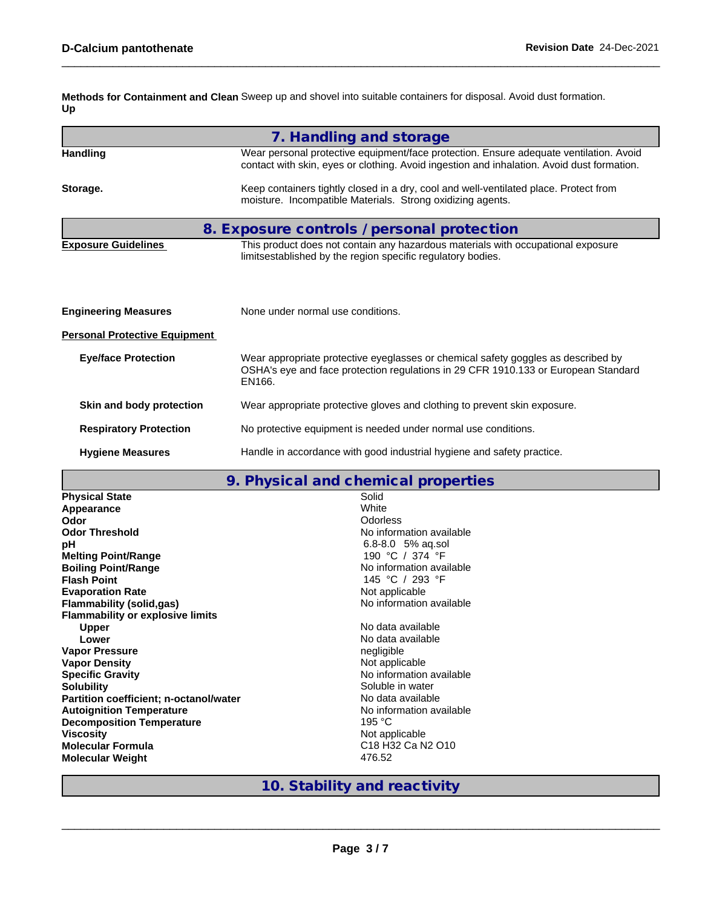**Methods for Containment and Clean** Sweep up and shovel into suitable containers for disposal. Avoid dust formation. **Up**

|                                      | 7. Handling and storage                                                                                                                                                              |
|--------------------------------------|--------------------------------------------------------------------------------------------------------------------------------------------------------------------------------------|
| <b>Handling</b>                      | Wear personal protective equipment/face protection. Ensure adequate ventilation. Avoid<br>contact with skin, eyes or clothing. Avoid ingestion and inhalation. Avoid dust formation. |
| Storage.                             | Keep containers tightly closed in a dry, cool and well-ventilated place. Protect from<br>moisture. Incompatible Materials. Strong oxidizing agents.                                  |
|                                      | 8. Exposure controls / personal protection                                                                                                                                           |
| <b>Exposure Guidelines</b>           | This product does not contain any hazardous materials with occupational exposure<br>limitsestablished by the region specific regulatory bodies.                                      |
| <b>Engineering Measures</b>          | None under normal use conditions.                                                                                                                                                    |
| <b>Personal Protective Equipment</b> |                                                                                                                                                                                      |
| <b>Eye/face Protection</b>           | Wear appropriate protective eyeglasses or chemical safety goggles as described by<br>OSHA's eye and face protection regulations in 29 CFR 1910.133 or European Standard<br>EN166.    |
| Skin and body protection             | Wear appropriate protective gloves and clothing to prevent skin exposure.                                                                                                            |
| <b>Respiratory Protection</b>        | No protective equipment is needed under normal use conditions.                                                                                                                       |
| <b>Hygiene Measures</b>              | Handle in accordance with good industrial hygiene and safety practice.                                                                                                               |
|                                      |                                                                                                                                                                                      |

|  |  | 9. Physical and chemical properties |  |  |
|--|--|-------------------------------------|--|--|
|--|--|-------------------------------------|--|--|

|                                         | 7. THYSICAI AND CHONNOGI PLOPOLITOS                               |
|-----------------------------------------|-------------------------------------------------------------------|
| <b>Physical State</b>                   | Solid                                                             |
| Appearance                              | White                                                             |
| Odor                                    | <b>Odorless</b>                                                   |
| <b>Odor Threshold</b>                   | No information available                                          |
| рH                                      | $6.8 - 8.0$ 5% ag.sol                                             |
| <b>Melting Point/Range</b>              | 190 °C / 374 °F                                                   |
| <b>Boiling Point/Range</b>              | No information available                                          |
| <b>Flash Point</b>                      | 145 °C / 293 °F                                                   |
| <b>Evaporation Rate</b>                 | Not applicable                                                    |
| <b>Flammability (solid,gas)</b>         | No information available                                          |
| <b>Flammability or explosive limits</b> |                                                                   |
| Upper                                   | No data available                                                 |
| Lower                                   | No data available                                                 |
| <b>Vapor Pressure</b>                   | negligible                                                        |
| <b>Vapor Density</b>                    | Not applicable                                                    |
| <b>Specific Gravity</b>                 | No information available                                          |
| <b>Solubility</b>                       | Soluble in water                                                  |
| Partition coefficient; n-octanol/water  | No data available                                                 |
| <b>Autoignition Temperature</b>         | No information available                                          |
| <b>Decomposition Temperature</b>        | 195 $°C$                                                          |
| <b>Viscosity</b>                        | Not applicable                                                    |
| <b>Molecular Formula</b>                | C <sub>18</sub> H <sub>32</sub> Ca N <sub>2</sub> O <sub>10</sub> |
| <b>Molecular Weight</b>                 | 476.52                                                            |
|                                         |                                                                   |

# **10. Stability and reactivity**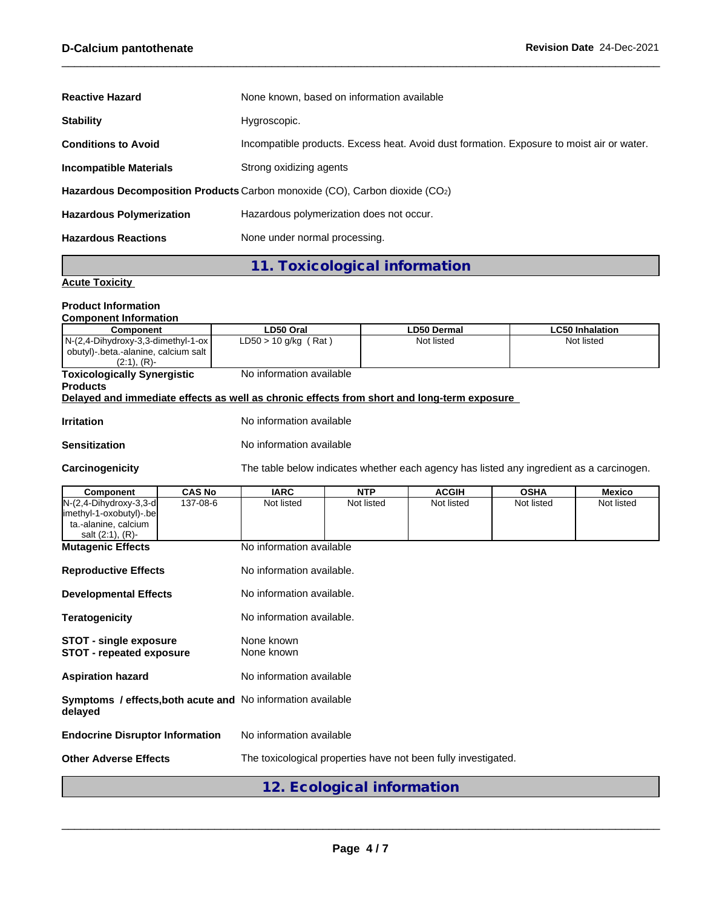| <b>Reactive Hazard</b>                                                      | None known, based on information available                                                |  |  |  |
|-----------------------------------------------------------------------------|-------------------------------------------------------------------------------------------|--|--|--|
| <b>Stability</b>                                                            | Hygroscopic.                                                                              |  |  |  |
| <b>Conditions to Avoid</b>                                                  | Incompatible products. Excess heat. Avoid dust formation. Exposure to moist air or water. |  |  |  |
| <b>Incompatible Materials</b>                                               | Strong oxidizing agents                                                                   |  |  |  |
| Hazardous Decomposition Products Carbon monoxide (CO), Carbon dioxide (CO2) |                                                                                           |  |  |  |
| <b>Hazardous Polymerization</b>                                             | Hazardous polymerization does not occur.                                                  |  |  |  |
| <b>Hazardous Reactions</b>                                                  | None under normal processing.                                                             |  |  |  |

**11. Toxicological information**

## **Acute Toxicity**

### **Product Information Component Information**

| <b>UUIIIDUIIEIII IIIIUIIIIAIIUII</b>                                                                   |                          |                    |                        |
|--------------------------------------------------------------------------------------------------------|--------------------------|--------------------|------------------------|
| <b>Component</b>                                                                                       | LD50 Oral                | <b>LD50 Dermal</b> | <b>LC50 Inhalation</b> |
| $N-(2,4-Dihydroxy-3,3-dimethyl-1-ox)$<br>  obutyl)-.beta.-alanine, calcium salt  <br>$(2:1)$ , $(R)$ - | $LD50 > 10$ g/kg (Rat)   | Not listed         | Not listed             |
| <b>Toxicologically Synergistic</b>                                                                     | No information available |                    |                        |
| <b>Products</b>                                                                                        |                          |                    |                        |
| Delayed and immediate effects as well as chronic effects from short and long-term exposure             |                          |                    |                        |
|                                                                                                        |                          |                    |                        |

**Irritation** No information available

Carcinogenicity The table below indicates whether each agency has listed any ingredient as a carcinogen.

| Component                                                                     | <b>CAS No</b> | <b>IARC</b>                                                    | <b>NTP</b>                 | <b>ACGIH</b> | <b>OSHA</b> | <b>Mexico</b> |  |  |
|-------------------------------------------------------------------------------|---------------|----------------------------------------------------------------|----------------------------|--------------|-------------|---------------|--|--|
| $N-(2, 4-Dihydroxy-3, 3-d)$<br> imethyl-1-oxobutyl)-.be                       | 137-08-6      | Not listed                                                     | Not listed                 | Not listed   | Not listed  | Not listed    |  |  |
| ta.-alanine, calcium<br>salt $(2:1)$ , $(R)$ -                                |               |                                                                |                            |              |             |               |  |  |
| <b>Mutagenic Effects</b>                                                      |               | No information available                                       |                            |              |             |               |  |  |
| <b>Reproductive Effects</b>                                                   |               | No information available.                                      |                            |              |             |               |  |  |
| <b>Developmental Effects</b>                                                  |               | No information available.                                      |                            |              |             |               |  |  |
| <b>Teratogenicity</b>                                                         |               |                                                                | No information available.  |              |             |               |  |  |
| <b>STOT - single exposure</b><br><b>STOT - repeated exposure</b>              |               | None known<br>None known                                       |                            |              |             |               |  |  |
| <b>Aspiration hazard</b>                                                      |               | No information available                                       |                            |              |             |               |  |  |
| <b>Symptoms / effects, both acute and No information available</b><br>delayed |               |                                                                |                            |              |             |               |  |  |
| <b>Endocrine Disruptor Information</b>                                        |               | No information available                                       |                            |              |             |               |  |  |
| <b>Other Adverse Effects</b>                                                  |               | The toxicological properties have not been fully investigated. |                            |              |             |               |  |  |
|                                                                               |               |                                                                | 12. Ecological information |              |             |               |  |  |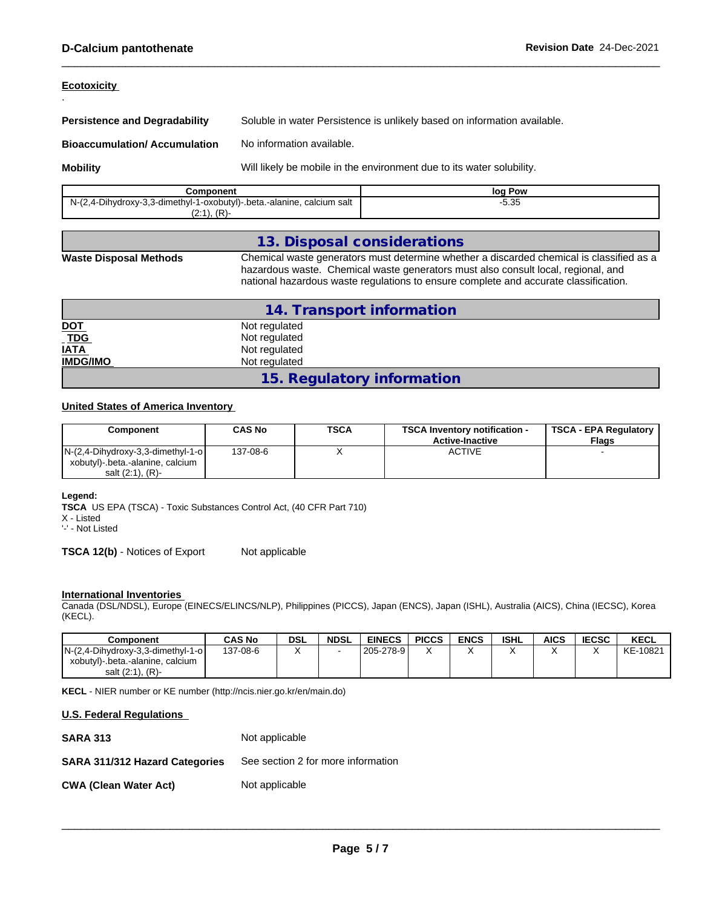**Ecotoxicity** 

.

**Persistence and Degradability** Soluble in water Persistence is unlikely based on information available.

**Bioaccumulation/ Accumulation** No information available.

**Mobility** Mobill **Mobility** Will likely be mobile in the environment due to its water solubility.

| Component                                                                 | Pow<br>log          |
|---------------------------------------------------------------------------|---------------------|
| N-(2,4-Dihydroxy-3,3-dimethyl-1-oxobutyl)-.beta.-alanine,<br>calcium salt | - <u>or</u><br>ວ.ວວ |
| (0.4)<br>(2.1), (1)                                                       |                     |

## **13. Disposal considerations**

**Waste Disposal Methods** Chemical waste generators must determine whether a discarded chemical is classified as a hazardous waste. Chemical waste generators must also consult local, regional, and national hazardous waste regulations to ensure complete and accurate classification.

|                              | 14. Transport information  |
|------------------------------|----------------------------|
| <u>DOT</u>                   | Not regulated              |
| $\underline{\overline{TDG}}$ | Not regulated              |
| <b>IATA</b>                  | Not regulated              |
| <b>IMDG/IMO</b>              | Not regulated              |
|                              | 15. Regulatory information |

## **United States of America Inventory**

| Component                                                               | <b>CAS No</b> | <b>TSCA</b> | <b>TSCA Inventory notification -</b><br><b>Active-Inactive</b> | TSCA - EPA Regulatory<br><b>Flags</b> |
|-------------------------------------------------------------------------|---------------|-------------|----------------------------------------------------------------|---------------------------------------|
| $N-(2,4-Dihydroxy-3,3-dimethyl-1-o)$<br>xobutyl) beta.-alanine, calcium | 137-08-6      | $\lambda$   | ACTIVE                                                         |                                       |
| salt $(2:1)$ , $(R)$ -                                                  |               |             |                                                                |                                       |

**Legend:**

**TSCA** US EPA (TSCA) - Toxic Substances Control Act, (40 CFR Part 710) X - Listed

'-' - Not Listed

**TSCA 12(b)** - Notices of Export Not applicable

## **International Inventories**

Canada (DSL/NDSL), Europe (EINECS/ELINCS/NLP), Philippines (PICCS), Japan (ENCS), Japan (ISHL), Australia (AICS), China (IECSC), Korea (KECL).

| Component                            | <b>CAS No</b> | <b>DSL</b> | <b>NDSL</b> | <b>EINECS</b> | <b>PICCS</b>              | <b>ENCS</b> | <b>ISHL</b> | AICS | <b>IECSC</b> | KECL     |
|--------------------------------------|---------------|------------|-------------|---------------|---------------------------|-------------|-------------|------|--------------|----------|
| $N-(2,4-Dihydroxy-3,3-dimethyl-1-o)$ | 137-08-6      |            |             | l 205-278-9 l | $\ddot{\phantom{1}}$<br>◠ |             |             |      |              | KE-10821 |
| xobutyl)-.beta.-alanine, calcium     |               |            |             |               |                           |             |             |      |              |          |
| $(R)$ -<br>salt (2:1).               |               |            |             |               |                           |             |             |      |              |          |

**KECL** - NIER number or KE number (http://ncis.nier.go.kr/en/main.do)

| <b>U.S. Federal Regulations</b>       |                                    |
|---------------------------------------|------------------------------------|
| <b>SARA 313</b>                       | Not applicable                     |
| <b>SARA 311/312 Hazard Categories</b> | See section 2 for more information |
| <b>CWA (Clean Water Act)</b>          | Not applicable                     |
|                                       |                                    |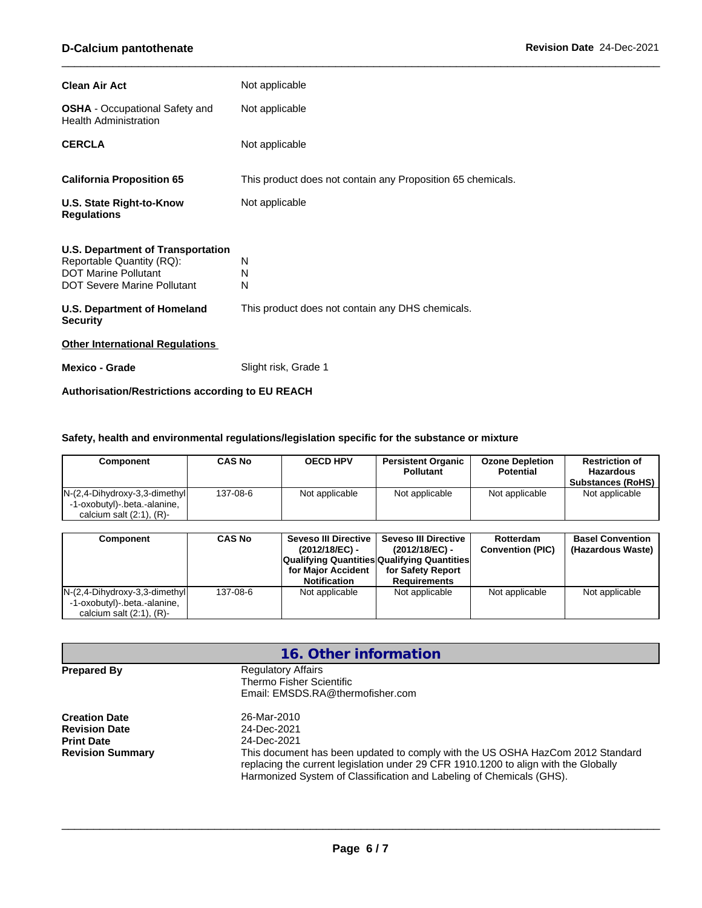| <b>Clean Air Act</b>                                                                                                         | Not applicable                                              |
|------------------------------------------------------------------------------------------------------------------------------|-------------------------------------------------------------|
| <b>OSHA</b> - Occupational Safety and<br><b>Health Administration</b>                                                        | Not applicable                                              |
| <b>CERCLA</b>                                                                                                                | Not applicable                                              |
| <b>California Proposition 65</b>                                                                                             | This product does not contain any Proposition 65 chemicals. |
| U.S. State Right-to-Know<br><b>Regulations</b>                                                                               | Not applicable                                              |
| U.S. Department of Transportation<br>Reportable Quantity (RQ):<br><b>DOT Marine Pollutant</b><br>DOT Severe Marine Pollutant | N<br>N<br>N                                                 |
| U.S. Department of Homeland<br><b>Security</b>                                                                               | This product does not contain any DHS chemicals.            |
| <b>Other International Regulations</b>                                                                                       |                                                             |
|                                                                                                                              |                                                             |

**Authorisation/Restrictions according to EU REACH**

## **Safety, health and environmental regulations/legislation specific for the substance or mixture**

| Component                                                                                            | <b>CAS No</b> | <b>OECD HPV</b> | <b>Persistent Organic</b><br><b>Pollutant</b> | <b>Ozone Depletion</b><br><b>Potential</b> | <b>Restriction of</b><br>Hazardous<br><b>Substances (RoHS)</b> |
|------------------------------------------------------------------------------------------------------|---------------|-----------------|-----------------------------------------------|--------------------------------------------|----------------------------------------------------------------|
| $N-(2, 4-Dihydroxy-3, 3-dimethyl)$<br>-1-oxobutyl)-.beta.-alanine,<br>calcium salt $(2:1)$ , $(R)$ - | 137-08-6      | Not applicable  | Not applicable                                | Not applicable                             | Not applicable                                                 |

| Component                                                                                            | <b>CAS No</b> | Seveso III Directive I<br>(2012/18/EC) -<br><b>Qualifying Quantities Qualifying Quantities</b><br>for Major Accident<br><b>Notification</b> | <b>Seveso III Directive</b><br>$(2012/18/EC)$ -<br>for Safety Report<br>Requirements | Rotterdam<br><b>Convention (PIC)</b> | <b>Basel Convention</b><br>(Hazardous Waste) |
|------------------------------------------------------------------------------------------------------|---------------|---------------------------------------------------------------------------------------------------------------------------------------------|--------------------------------------------------------------------------------------|--------------------------------------|----------------------------------------------|
| $N-(2, 4-Dihydroxy-3, 3-dimethyl)$<br>-1-oxobutyl)-.beta.-alanine,<br>calcium salt $(2:1)$ , $(R)$ - | 137-08-6      | Not applicable                                                                                                                              | Not applicable                                                                       | Not applicable                       | Not applicable                               |

|                                                                                              | 16. Other information                                                                                                                                                                                                                                                                      |
|----------------------------------------------------------------------------------------------|--------------------------------------------------------------------------------------------------------------------------------------------------------------------------------------------------------------------------------------------------------------------------------------------|
| <b>Prepared By</b>                                                                           | <b>Regulatory Affairs</b><br>Thermo Fisher Scientific<br>Email: EMSDS.RA@thermofisher.com                                                                                                                                                                                                  |
| <b>Creation Date</b><br><b>Revision Date</b><br><b>Print Date</b><br><b>Revision Summary</b> | 26-Mar-2010<br>24-Dec-2021<br>24-Dec-2021<br>This document has been updated to comply with the US OSHA HazCom 2012 Standard<br>replacing the current legislation under 29 CFR 1910.1200 to align with the Globally<br>Harmonized System of Classification and Labeling of Chemicals (GHS). |